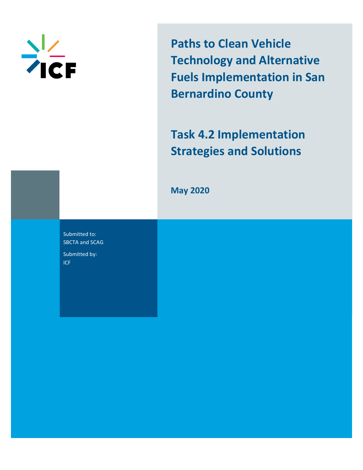

**Paths to Clean Vehicle Technology and Alternative Fuels Implementation in San Bernardino County**

**Task 4.2 Implementation Strategies and Solutions**

**May 2020**

Submitted to: SBCTA and SCAG Submitted by: ICF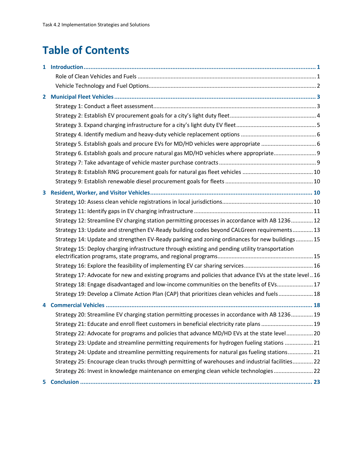# **Table of Contents**

|    | Strategy 6. Establish goals and procure natural gas MD/HD vehicles where appropriate 9                  |  |
|----|---------------------------------------------------------------------------------------------------------|--|
|    |                                                                                                         |  |
|    |                                                                                                         |  |
|    |                                                                                                         |  |
|    |                                                                                                         |  |
|    |                                                                                                         |  |
|    |                                                                                                         |  |
|    | Strategy 12: Streamline EV charging station permitting processes in accordance with AB 1236 12          |  |
|    | Strategy 13: Update and strengthen EV-Ready building codes beyond CALGreen requirements 13              |  |
|    | Strategy 14: Update and strengthen EV-Ready parking and zoning ordinances for new buildings 15          |  |
|    | Strategy 15: Deploy charging infrastructure through existing and pending utility transportation         |  |
|    |                                                                                                         |  |
|    |                                                                                                         |  |
|    | Strategy 17: Advocate for new and existing programs and policies that advance EVs at the state level 16 |  |
|    | Strategy 18: Engage disadvantaged and low-income communities on the benefits of EVs 17                  |  |
|    | Strategy 19: Develop a Climate Action Plan (CAP) that prioritizes clean vehicles and fuels 18           |  |
|    |                                                                                                         |  |
|    | Strategy 20: Streamline EV charging station permitting processes in accordance with AB 1236 19          |  |
|    | Strategy 21: Educate and enroll fleet customers in beneficial electricity rate plans  19                |  |
|    | Strategy 22: Advocate for programs and policies that advance MD/HD EVs at the state level 20            |  |
|    | Strategy 23: Update and streamline permitting requirements for hydrogen fueling stations  21            |  |
|    | Strategy 24: Update and streamline permitting requirements for natural gas fueling stations 21          |  |
|    | Strategy 25: Encourage clean trucks through permitting of warehouses and industrial facilities 22       |  |
|    | Strategy 26: Invest in knowledge maintenance on emerging clean vehicle technologies 22                  |  |
| 5. |                                                                                                         |  |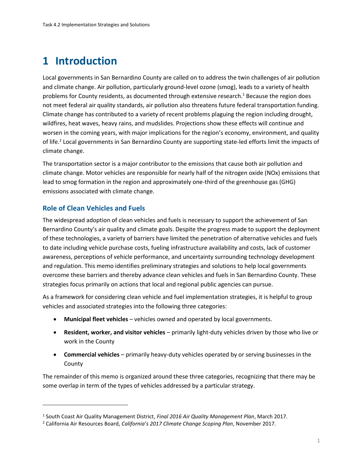# **1 Introduction**

Local governments in San Bernardino County are called on to address the twin challenges of air pollution and climate change. Air pollution, particularly ground-level ozone (smog), leads to a variety of health problems for County residents, as documented through extensive research.<sup>1</sup> Because the region does not meet federal air quality standards, air pollution also threatens future federal transportation funding. Climate change has contributed to a variety of recent problems plaguing the region including drought, wildfires, heat waves, heavy rains, and mudslides. Projections show these effects will continue and worsen in the coming years, with major implications for the region's economy, environment, and quality of life.<sup>2</sup> Local governments in San Bernardino County are supporting state-led efforts limit the impacts of climate change.

The transportation sector is a major contributor to the emissions that cause both air pollution and climate change. Motor vehicles are responsible for nearly half of the nitrogen oxide (NOx) emissions that lead to smog formation in the region and approximately one-third of the greenhouse gas (GHG) emissions associated with climate change.

### **Role of Clean Vehicles and Fuels**

The widespread adoption of clean vehicles and fuels is necessary to support the achievement of San Bernardino County's air quality and climate goals. Despite the progress made to support the deployment of these technologies, a variety of barriers have limited the penetration of alternative vehicles and fuels to date including vehicle purchase costs, fueling infrastructure availability and costs, lack of customer awareness, perceptions of vehicle performance, and uncertainty surrounding technology development and regulation. This memo identifies preliminary strategies and solutions to help local governments overcome these barriers and thereby advance clean vehicles and fuels in San Bernardino County. These strategies focus primarily on actions that local and regional public agencies can pursue.

As a framework for considering clean vehicle and fuel implementation strategies, it is helpful to group vehicles and associated strategies into the following three categories:

- **Municipal fleet vehicles** vehicles owned and operated by local governments.
- **Resident, worker, and visitor vehicles** primarily light-duty vehicles driven by those who live or work in the County
- **Commercial vehicles** primarily heavy-duty vehicles operated by or serving businesses in the County

The remainder of this memo is organized around these three categories, recognizing that there may be some overlap in term of the types of vehicles addressed by a particular strategy.

<sup>1</sup> South Coast Air Quality Management District, *Final 2016 Air Quality Management Plan*, March 2017.

<sup>2</sup> California Air Resources Board, *California's 2017 Climate Change Scoping Plan*, November 2017.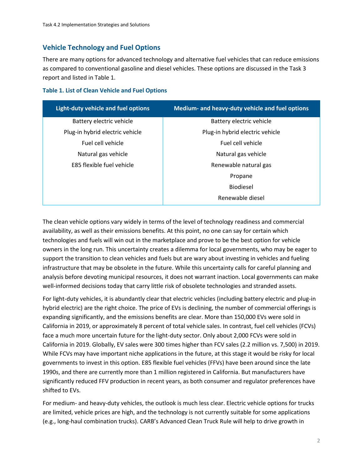## **Vehicle Technology and Fuel Options**

There are many options for advanced technology and alternative fuel vehicles that can reduce emissions as compared to conventional gasoline and diesel vehicles. These options are discussed in the Task 3 report and listed in Table 1.

| <b>Table 1. List of Clean Vehicle and Fuel Options</b> |  |  |  |
|--------------------------------------------------------|--|--|--|
|--------------------------------------------------------|--|--|--|

| Light-duty vehicle and fuel options | Medium- and heavy-duty vehicle and fuel options |
|-------------------------------------|-------------------------------------------------|
| Battery electric vehicle            | Battery electric vehicle                        |
| Plug-in hybrid electric vehicle     | Plug-in hybrid electric vehicle                 |
| Fuel cell vehicle                   | Fuel cell vehicle                               |
| Natural gas vehicle                 | Natural gas vehicle                             |
| E85 flexible fuel vehicle           | Renewable natural gas                           |
|                                     | Propane                                         |
|                                     | <b>Biodiesel</b>                                |
|                                     | Renewable diesel                                |

The clean vehicle options vary widely in terms of the level of technology readiness and commercial availability, as well as their emissions benefits. At this point, no one can say for certain which technologies and fuels will win out in the marketplace and prove to be the best option for vehicle owners in the long run. This uncertainty creates a dilemma for local governments, who may be eager to support the transition to clean vehicles and fuels but are wary about investing in vehicles and fueling infrastructure that may be obsolete in the future. While this uncertainty calls for careful planning and analysis before devoting municipal resources, it does not warrant inaction. Local governments can make well-informed decisions today that carry little risk of obsolete technologies and stranded assets.

For light-duty vehicles, it is abundantly clear that electric vehicles (including battery electric and plug-in hybrid electric) are the right choice. The price of EVs is declining, the number of commercial offerings is expanding significantly, and the emissions benefits are clear. More than 150,000 EVs were sold in California in 2019, or approximately 8 percent of total vehicle sales. In contrast, fuel cell vehicles (FCVs) face a much more uncertain future for the light-duty sector. Only about 2,000 FCVs were sold in California in 2019. Globally, EV sales were 300 times higher than FCV sales (2.2 million vs. 7,500) in 2019. While FCVs may have important niche applications in the future, at this stage it would be risky for local governments to invest in this option. E85 flexible fuel vehicles (FFVs) have been around since the late 1990s, and there are currently more than 1 million registered in California. But manufacturers have significantly reduced FFV production in recent years, as both consumer and regulator preferences have shifted to EVs.

For medium- and heavy-duty vehicles, the outlook is much less clear. Electric vehicle options for trucks are limited, vehicle prices are high, and the technology is not currently suitable for some applications (e.g., long-haul combination trucks). CARB's Advanced Clean Truck Rule will help to drive growth in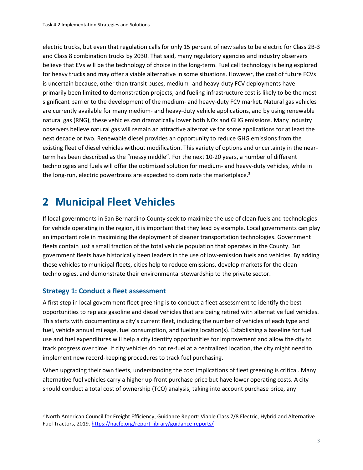electric trucks, but even that regulation calls for only 15 percent of new sales to be electric for Class 2B-3 and Class 8 combination trucks by 2030. That said, many regulatory agencies and industry observers believe that EVs will be the technology of choice in the long-term. Fuel cell technology is being explored for heavy trucks and may offer a viable alternative in some situations. However, the cost of future FCVs is uncertain because, other than transit buses, medium- and heavy-duty FCV deployments have primarily been limited to demonstration projects, and fueling infrastructure cost is likely to be the most significant barrier to the development of the medium- and heavy-duty FCV market. Natural gas vehicles are currently available for many medium- and heavy-duty vehicle applications, and by using renewable natural gas (RNG), these vehicles can dramatically lower both NOx and GHG emissions. Many industry observers believe natural gas will remain an attractive alternative for some applications for at least the next decade or two. Renewable diesel provides an opportunity to reduce GHG emissions from the existing fleet of diesel vehicles without modification. This variety of options and uncertainty in the nearterm has been described as the "messy middle". For the next 10-20 years, a number of different technologies and fuels will offer the optimized solution for medium- and heavy-duty vehicles, while in the long-run, electric powertrains are expected to dominate the marketplace.<sup>3</sup>

# **2 Municipal Fleet Vehicles**

If local governments in San Bernardino County seek to maximize the use of clean fuels and technologies for vehicle operating in the region, it is important that they lead by example. Local governments can play an important role in maximizing the deployment of cleaner transportation technologies. Government fleets contain just a small fraction of the total vehicle population that operates in the County. But government fleets have historically been leaders in the use of low-emission fuels and vehicles. By adding these vehicles to municipal fleets, cities help to reduce emissions, develop markets for the clean technologies, and demonstrate their environmental stewardship to the private sector.

### **Strategy 1: Conduct a fleet assessment**

A first step in local government fleet greening is to conduct a fleet assessment to identify the best opportunities to replace gasoline and diesel vehicles that are being retired with alternative fuel vehicles. This starts with documenting a city's current fleet, including the number of vehicles of each type and fuel, vehicle annual mileage, fuel consumption, and fueling location(s). Establishing a baseline for fuel use and fuel expenditures will help a city identify opportunities for improvement and allow the city to track progress over time. If city vehicles do not re-fuel at a centralized location, the city might need to implement new record-keeping procedures to track fuel purchasing.

When upgrading their own fleets, understanding the cost implications of fleet greening is critical. Many alternative fuel vehicles carry a higher up-front purchase price but have lower operating costs. A city should conduct a total cost of ownership (TCO) analysis, taking into account purchase price, any

<sup>3</sup> North American Council for Freight Efficiency, Guidance Report: Viable Class 7/8 Electric, Hybrid and Alternative Fuel Tractors, 2019[. https://nacfe.org/report-library/guidance-reports/](https://nacfe.org/report-library/guidance-reports/)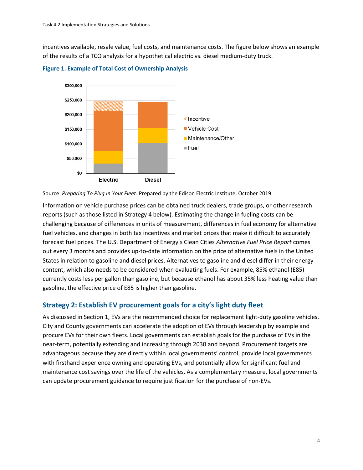incentives available, resale value, fuel costs, and maintenance costs. The figure below shows an example of the results of a TCO analysis for a hypothetical electric vs. diesel medium-duty truck.



**Figure 1. Example of Total Cost of Ownership Analysis**

Information on vehicle purchase prices can be obtained truck dealers, trade groups, or other research reports (such as those listed in Strategy 4 below). Estimating the change in fueling costs can be challenging because of differences in units of measurement, differences in fuel economy for alternative fuel vehicles, and changes in both tax incentives and market prices that make it difficult to accurately forecast fuel prices. The U.S. Department of Energy's Clean Cities *Alternative Fuel Price Report* comes out every 3 months and provides up-to-date information on the price of alternative fuels in the United States in relation to gasoline and diesel prices. Alternatives to gasoline and diesel differ in their energy content, which also needs to be considered when evaluating fuels. For example, 85% ethanol (E85) currently costs less per gallon than gasoline, but because ethanol has about 35% less heating value than gasoline, the effective price of E85 is higher than gasoline.

### **Strategy 2: Establish EV procurement goals for a city's light duty fleet**

As discussed in Section 1, EVs are the recommended choice for replacement light-duty gasoline vehicles. City and County governments can accelerate the adoption of EVs through leadership by example and procure EVs for their own fleets. Local governments can establish goals for the purchase of EVs in the near-term, potentially extending and increasing through 2030 and beyond. Procurement targets are advantageous because they are directly within local governments' control, provide local governments with firsthand experience owning and operating EVs, and potentially allow for significant fuel and maintenance cost savings over the life of the vehicles. As a complementary measure, local governments can update procurement guidance to require justification for the purchase of non-EVs.

Source: *Preparing To Plug In Your Fleet*. Prepared by the Edison Electric Institute, October 2019.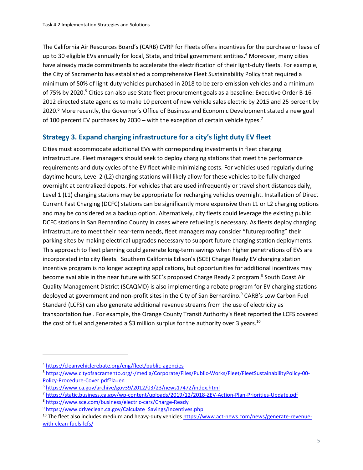The California Air Resources Board's (CARB) CVRP for Fleets offers incentives for the purchase or lease of up to 30 eligible EVs annually for local, State, and tribal government entities.<sup>4</sup> Moreover, many cities have already made commitments to accelerate the electrification of their light-duty fleets. For example, the City of Sacramento has established a comprehensive Fleet Sustainability Policy that required a minimum of 50% of light-duty vehicles purchased in 2018 to be zero-emission vehicles and a minimum of 75% by 2020.<sup>5</sup> Cities can also use State fleet procurement goals as a baseline: Executive Order B-16-2012 directed state agencies to make 10 percent of new vehicle sales electric by 2015 and 25 percent by 2020.<sup>6</sup> More recently, the Governor's Office of Business and Economic Development stated a new goal of 100 percent EV purchases by 2030 – with the exception of certain vehicle types.<sup>7</sup>

## **Strategy 3. Expand charging infrastructure for a city's light duty EV fleet**

Cities must accommodate additional EVs with corresponding investments in fleet charging infrastructure. Fleet managers should seek to deploy charging stations that meet the performance requirements and duty cycles of the EV fleet while minimizing costs. For vehicles used regularly during daytime hours, Level 2 (L2) charging stations will likely allow for these vehicles to be fully charged overnight at centralized depots. For vehicles that are used infrequently or travel short distances daily, Level 1 (L1) charging stations may be appropriate for recharging vehicles overnight. Installation of Direct Current Fast Charging (DCFC) stations can be significantly more expensive than L1 or L2 charging options and may be considered as a backup option. Alternatively, city fleets could leverage the existing public DCFC stations in San Bernardino County in cases where refueling is necessary. As fleets deploy charging infrastructure to meet their near-term needs, fleet managers may consider "futureproofing" their parking sites by making electrical upgrades necessary to support future charging station deployments. This approach to fleet planning could generate long-term savings when higher penetrations of EVs are incorporated into city fleets. Southern California Edison's (SCE) Charge Ready EV charging station incentive program is no longer accepting applications, but opportunities for additional incentives may become available in the near future with SCE's proposed Charge Ready 2 program.<sup>8</sup> South Coast Air Quality Management District (SCAQMD) is also implementing a rebate program for EV charging stations deployed at government and non-profit sites in the City of San Bernardino.<sup>9</sup> CARB's Low Carbon Fuel Standard (LCFS) can also generate additional revenue streams from the use of electricity as transportation fuel. For example, the Orange County Transit Authority's fleet reported the LCFS covered the cost of fuel and generated a \$3 million surplus for the authority over 3 years.<sup>10</sup>

<sup>4</sup> <https://cleanvehiclerebate.org/eng/fleet/public-agencies>

<sup>5</sup> [https://www.cityofsacramento.org/-/media/Corporate/Files/Public-Works/Fleet/FleetSustainabilityPolicy-00-](https://www.cityofsacramento.org/-/media/Corporate/Files/Public-Works/Fleet/FleetSustainabilityPolicy-00-Policy-Procedure-Cover.pdf?la=en) [Policy-Procedure-Cover.pdf?la=en](https://www.cityofsacramento.org/-/media/Corporate/Files/Public-Works/Fleet/FleetSustainabilityPolicy-00-Policy-Procedure-Cover.pdf?la=en)

<sup>6</sup> <https://www.ca.gov/archive/gov39/2012/03/23/news17472/index.html>

<sup>7</sup> <https://static.business.ca.gov/wp-content/uploads/2019/12/2018-ZEV-Action-Plan-Priorities-Update.pdf>

<sup>8</sup> <https://www.sce.com/business/electric-cars/Charge-Ready>

<sup>&</sup>lt;sup>9</sup> [https://www.driveclean.ca.gov/Calculate\\_Savings/Incentives.php](https://www.driveclean.ca.gov/Calculate_Savings/Incentives.php)

<sup>&</sup>lt;sup>10</sup> The fleet also includes medium and heavy-duty vehicle[s https://www.act-news.com/news/generate-revenue](https://www.act-news.com/news/generate-revenue-with-clean-fuels-lcfs/)[with-clean-fuels-lcfs/](https://www.act-news.com/news/generate-revenue-with-clean-fuels-lcfs/)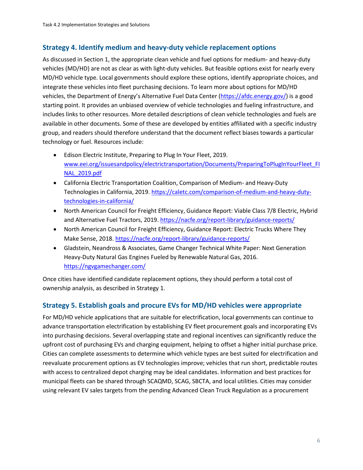## **Strategy 4. Identify medium and heavy-duty vehicle replacement options**

As discussed in Section 1, the appropriate clean vehicle and fuel options for medium- and heavy-duty vehicles (MD/HD) are not as clear as with light-duty vehicles. But feasible options exist for nearly every MD/HD vehicle type. Local governments should explore these options, identify appropriate choices, and integrate these vehicles into fleet purchasing decisions. To learn more about options for MD/HD vehicles, the Department of Energy's Alternative Fuel Data Center ([https://afdc.energy.gov/\)](https://afdc.energy.gov/) is a good starting point. It provides an unbiased overview of vehicle technologies and fueling infrastructure, and includes links to other resources. More detailed descriptions of clean vehicle technologies and fuels are available in other documents. Some of these are developed by entities affiliated with a specific industry group, and readers should therefore understand that the document reflect biases towards a particular technology or fuel. Resources include:

- Edison Electric Institute, Preparing to Plug In Your Fleet, 2019. [www.eei.org/issuesandpolicy/electrictransportation/Documents/PreparingToPlugInYourFleet\\_FI](http://www.eei.org/issuesandpolicy/electrictransportation/Documents/PreparingToPlugInYourFleet_FINAL_2019.pdf) [NAL\\_2019.pdf](http://www.eei.org/issuesandpolicy/electrictransportation/Documents/PreparingToPlugInYourFleet_FINAL_2019.pdf)
- California Electric Transportation Coalition, Comparison of Medium- and Heavy-Duty Technologies in California, 2019[. https://caletc.com/comparison-of-medium-and-heavy-duty](https://caletc.com/comparison-of-medium-and-heavy-duty-technologies-in-california/)[technologies-in-california/](https://caletc.com/comparison-of-medium-and-heavy-duty-technologies-in-california/)
- North American Council for Freight Efficiency, Guidance Report: Viable Class 7/8 Electric, Hybrid and Alternative Fuel Tractors, 2019.<https://nacfe.org/report-library/guidance-reports/>
- North American Council for Freight Efficiency, Guidance Report: Electric Trucks Where They Make Sense, 2018[. https://nacfe.org/report-library/guidance-reports/](https://nacfe.org/report-library/guidance-reports/)
- Gladstein, Neandross & Associates, Game Changer Technical White Paper: Next Generation Heavy-Duty Natural Gas Engines Fueled by Renewable Natural Gas, 2016. <https://ngvgamechanger.com/>

Once cities have identified candidate replacement options, they should perform a total cost of ownership analysis, as described in Strategy 1.

## **Strategy 5. Establish goals and procure EVs for MD/HD vehicles were appropriate**

For MD/HD vehicle applications that are suitable for electrification, local governments can continue to advance transportation electrification by establishing EV fleet procurement goals and incorporating EVs into purchasing decisions. Several overlapping state and regional incentives can significantly reduce the upfront cost of purchasing EVs and charging equipment, helping to offset a higher initial purchase price. Cities can complete assessments to determine which vehicle types are best suited for electrification and reevaluate procurement options as EV technologies improve; vehicles that run short, predictable routes with access to centralized depot charging may be ideal candidates. Information and best practices for municipal fleets can be shared through SCAQMD, SCAG, SBCTA, and local utilities. Cities may consider using relevant EV sales targets from the pending Advanced Clean Truck Regulation as a procurement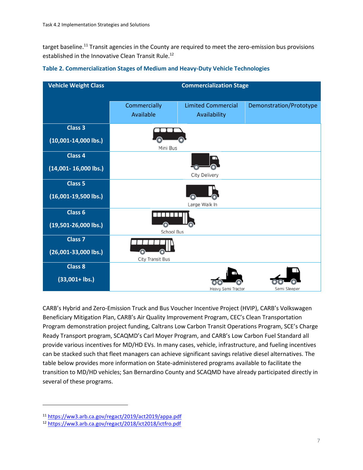target baseline.<sup>11</sup> Transit agencies in the County are required to meet the zero-emission bus provisions established in the Innovative Clean Transit Rule.<sup>12</sup>

| <b>Vehicle Weight Class</b>                                                            | <b>Commercialization Stage</b> |                                           |                         |
|----------------------------------------------------------------------------------------|--------------------------------|-------------------------------------------|-------------------------|
|                                                                                        | Commercially<br>Available      | <b>Limited Commercial</b><br>Availability | Demonstration/Prototype |
| <b>Class 3</b><br>$(10,001-14,000$ lbs.)                                               |                                |                                           |                         |
| <b>Class 4</b>                                                                         | Mini Bus                       |                                           |                         |
| $(14,001 - 16,000$ lbs.)                                                               | City Delivery                  |                                           |                         |
|                                                                                        |                                |                                           |                         |
|                                                                                        |                                | Large Walk In                             |                         |
|                                                                                        |                                |                                           |                         |
|                                                                                        | School Bus                     |                                           |                         |
| <b>Class 7</b>                                                                         |                                |                                           |                         |
| $(26,001-33,000$ lbs.)                                                                 | City Transit Bus               |                                           |                         |
| <b>Class 8</b>                                                                         |                                |                                           |                         |
| $(33,001 +$ lbs.)                                                                      |                                |                                           |                         |
| <b>Class 5</b><br>$(16,001-19,500$ lbs.)<br><b>Class 6</b><br>$(19,501 - 26,000$ lbs.) |                                | Heavy Semi Tractor                        | Semi Sleeper            |

#### **Table 2. Commercialization Stages of Medium and Heavy-Duty Vehicle Technologies**

CARB's Hybrid and Zero-Emission Truck and Bus Voucher Incentive Project (HVIP), CARB's Volkswagen Beneficiary Mitigation Plan, CARB's Air Quality Improvement Program, CEC's Clean Transportation Program demonstration project funding, Caltrans Low Carbon Transit Operations Program, SCE's Charge Ready Transport program, SCAQMD's Carl Moyer Program, and CARB's Low Carbon Fuel Standard all provide various incentives for MD/HD EVs. In many cases, vehicle, infrastructure, and fueling incentives can be stacked such that fleet managers can achieve significant savings relative diesel alternatives. The table below provides more information on State-administered programs available to facilitate the transition to MD/HD vehicles; San Bernardino County and SCAQMD have already participated directly in several of these programs.

<sup>11</sup> <https://ww3.arb.ca.gov/regact/2019/act2019/appa.pdf>

<sup>12</sup> <https://ww3.arb.ca.gov/regact/2018/ict2018/ictfro.pdf>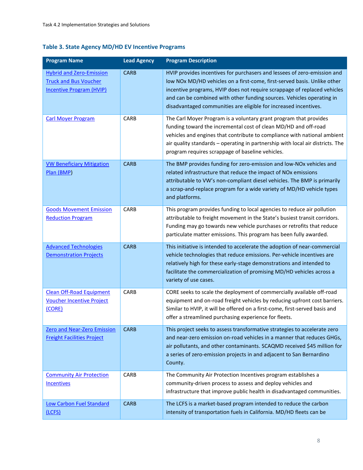## **Table 3. State Agency MD/HD EV Incentive Programs**

| <b>Program Name</b>                                                                                | <b>Lead Agency</b> | <b>Program Description</b>                                                                                                                                                                                                                                                                                                                                                    |
|----------------------------------------------------------------------------------------------------|--------------------|-------------------------------------------------------------------------------------------------------------------------------------------------------------------------------------------------------------------------------------------------------------------------------------------------------------------------------------------------------------------------------|
| <b>Hybrid and Zero-Emission</b><br><b>Truck and Bus Voucher</b><br><b>Incentive Program (HVIP)</b> | <b>CARB</b>        | HVIP provides incentives for purchasers and lessees of zero-emission and<br>low NOx MD/HD vehicles on a first-come, first-served basis. Unlike other<br>incentive programs, HVIP does not require scrappage of replaced vehicles<br>and can be combined with other funding sources. Vehicles operating in<br>disadvantaged communities are eligible for increased incentives. |
| <b>Carl Moyer Program</b>                                                                          | CARB               | The Carl Moyer Program is a voluntary grant program that provides<br>funding toward the incremental cost of clean MD/HD and off-road<br>vehicles and engines that contribute to compliance with national ambient<br>air quality standards - operating in partnership with local air districts. The<br>program requires scrappage of baseline vehicles.                        |
| <b>VW Beneficiary Mitigation</b><br>Plan (BMP)                                                     | <b>CARB</b>        | The BMP provides funding for zero-emission and low-NOx vehicles and<br>related infrastructure that reduce the impact of NOx emissions<br>attributable to VW's non-compliant diesel vehicles. The BMP is primarily<br>a scrap-and-replace program for a wide variety of MD/HD vehicle types<br>and platforms.                                                                  |
| <b>Goods Movement Emission</b><br><b>Reduction Program</b>                                         | CARB               | This program provides funding to local agencies to reduce air pollution<br>attributable to freight movement in the State's busiest transit corridors.<br>Funding may go towards new vehicle purchases or retrofits that reduce<br>particulate matter emissions. This program has been fully awarded.                                                                          |
| <b>Advanced Technologies</b><br><b>Demonstration Projects</b>                                      | <b>CARB</b>        | This initiative is intended to accelerate the adoption of near-commercial<br>vehicle technologies that reduce emissions. Per-vehicle incentives are<br>relatively high for these early-stage demonstrations and intended to<br>facilitate the commercialization of promising MD/HD vehicles across a<br>variety of use cases.                                                 |
| <b>Clean Off-Road Equipment</b><br><b>Voucher Incentive Project</b><br>(CORE)                      | CARB               | CORE seeks to scale the deployment of commercially available off-road<br>equipment and on-road freight vehicles by reducing upfront cost barriers.<br>Similar to HVIP, it will be offered on a first-come, first-served basis and<br>offer a streamlined purchasing experience for fleets.                                                                                    |
| <b>Zero and Near-Zero Emission</b><br><b>Freight Facilities Project</b>                            | <b>CARB</b>        | This project seeks to assess transformative strategies to accelerate zero<br>and near-zero emission on-road vehicles in a manner that reduces GHGs,<br>air pollutants, and other contaminants. SCAQMD received \$45 million for<br>a series of zero-emission projects in and adjacent to San Bernardino<br>County.                                                            |
| <b>Community Air Protection</b><br><b>Incentives</b>                                               | CARB               | The Community Air Protection Incentives program establishes a<br>community-driven process to assess and deploy vehicles and<br>infrastructure that improve public health in disadvantaged communities.                                                                                                                                                                        |
| <b>Low Carbon Fuel Standard</b><br>(LCFS)                                                          | <b>CARB</b>        | The LCFS is a market-based program intended to reduce the carbon<br>intensity of transportation fuels in California. MD/HD fleets can be                                                                                                                                                                                                                                      |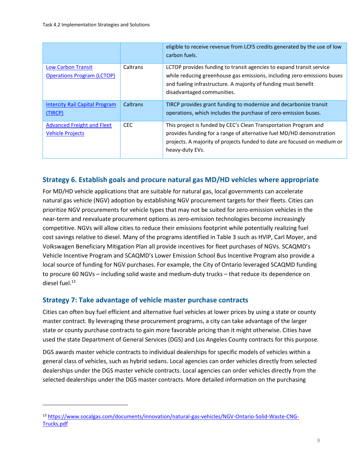|                                                              |            | eligible to receive revenue from LCFS credits generated by the use of low<br>carbon fuels.                                                                                                                                                      |
|--------------------------------------------------------------|------------|-------------------------------------------------------------------------------------------------------------------------------------------------------------------------------------------------------------------------------------------------|
| Low Carbon Transit<br><b>Operations Program (LCTOP)</b>      | Caltrans   | LCTOP provides funding to transit agencies to expand transit service<br>while reducing greenhouse gas emissions, including zero-emissions buses<br>and fueling infrastructure. A majority of funding must benefit<br>disadvantaged communities. |
| <b>Intercity Rail Capital Program</b><br>(TIRCP)             | Caltrans   | TIRCP provides grant funding to modernize and decarbonize transit<br>operations, which includes the purchase of zero-emission buses.                                                                                                            |
| <b>Advanced Freight and Fleet</b><br><b>Vehicle Projects</b> | <b>CEC</b> | This project is funded by CEC's Clean Transportation Program and<br>provides funding for a range of alternative fuel MD/HD demonstration<br>projects. A majority of projects funded to date are focused on medium or<br>heavy-duty EVs.         |

## **Strategy 6. Establish goals and procure natural gas MD/HD vehicles where appropriate**

For MD/HD vehicle applications that are suitable for natural gas, local governments can accelerate natural gas vehicle (NGV) adoption by establishing NGV procurement targets for their fleets. Cities can prioritize NGV procurements for vehicle types that may not be suited for zero-emission vehicles in the near-term and reevaluate procurement options as zero-emission technologies become increasingly competitive. NGVs will allow cities to reduce their emissions footprint while potentially realizing fuel cost savings relative to diesel. Many of the programs identified in Table 3 such as HVIP, Carl Moyer, and Volkswagen Beneficiary Mitigation Plan all provide incentives for fleet purchases of NGVs. SCAQMD's Vehicle Incentive Program and SCAQMD's Lower Emission School Bus Incentive Program also provide a local source of funding for NGV purchases. For example, the City of Ontario leveraged SCAQMD funding to procure 60 NGVs – including solid waste and medium-duty trucks – that reduce its dependence on diesel fuel.<sup>13</sup>

### **Strategy 7: Take advantage of vehicle master purchase contracts**

Cities can often buy fuel efficient and alternative fuel vehicles at lower prices by using a state or county master contract. By leveraging these procurement programs, a city can take advantage of the larger state or county purchase contracts to gain more favorable pricing than it might otherwise. Cities have used the state Department of General Services (DGS) and Los Angeles County contracts for this purpose.

DGS awards master vehicle contracts to individual dealerships for specific models of vehicles within a general class of vehicles, such as hybrid sedans. Local agencies can order vehicles directly from selected dealerships under the DGS master vehicle contracts. Local agencies can order vehicles directly from the selected dealerships under the DGS master contracts. More detailed information on the purchasing

<sup>13</sup> [https://www.socalgas.com/documents/innovation/natural-gas-vehicles/NGV-Ontario-Solid-Waste-CNG-](https://www.socalgas.com/documents/innovation/natural-gas-vehicles/NGV-Ontario-Solid-Waste-CNG-Trucks.pdf)[Trucks.pdf](https://www.socalgas.com/documents/innovation/natural-gas-vehicles/NGV-Ontario-Solid-Waste-CNG-Trucks.pdf)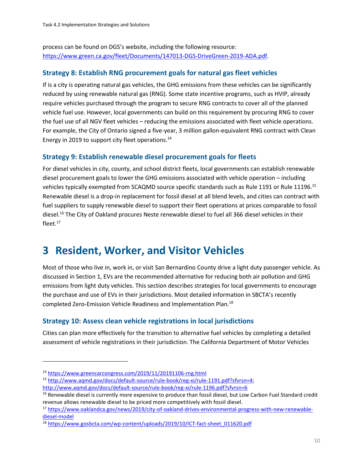process can be found on DGS's website, including the following resource: [https://www.green.ca.gov/fleet/Documents/147013-DGS-DriveGreen-2019-ADA.pdf.](https://www.green.ca.gov/fleet/Documents/147013-DGS-DriveGreen-2019-ADA.pdf)

#### **Strategy 8: Establish RNG procurement goals for natural gas fleet vehicles**

If is a city is operating natural gas vehicles, the GHG emissions from these vehicles can be significantly reduced by using renewable natural gas (RNG). Some state incentive programs, such as HVIP, already require vehicles purchased through the program to secure RNG contracts to cover all of the planned vehicle fuel use. However, local governments can build on this requirement by procuring RNG to cover the fuel use of all NGV fleet vehicles – reducing the emissions associated with fleet vehicle operations. For example, the City of Ontario signed a five-year, 3 million gallon-equivalent RNG contract with Clean Energy in 2019 to support city fleet operations.<sup>14</sup>

#### **Strategy 9: Establish renewable diesel procurement goals for fleets**

For diesel vehicles in city, county, and school district fleets, local governments can establish renewable diesel procurement goals to lower the GHG emissions associated with vehicle operation – including vehicles typically exempted from SCAQMD source specific standards such as Rule 1191 or Rule 11196.<sup>15</sup> Renewable diesel is a drop-in replacement for fossil diesel at all blend levels, and cities can contract with fuel suppliers to supply renewable diesel to support their fleet operations at prices comparable to fossil diesel.<sup>16</sup> The City of Oakland procures Neste renewable diesel to fuel all 366 diesel vehicles in their fleet. $17$ 

# **3 Resident, Worker, and Visitor Vehicles**

Most of those who live in, work in, or visit San Bernardino County drive a light duty passenger vehicle. As discussed in Section 1, EVs are the recommended alternative for reducing both air pollution and GHG emissions from light duty vehicles. This section describes strategies for local governments to encourage the purchase and use of EVs in their jurisdictions. Most detailed information in SBCTA's recently completed Zero-Emission Vehicle Readiness and Implementation Plan.<sup>18</sup>

### **Strategy 10: Assess clean vehicle registrations in local jurisdictions**

Cities can plan more effectively for the transition to alternative fuel vehicles by completing a detailed assessment of vehicle registrations in their jurisdiction. The California Department of Motor Vehicles

<sup>14</sup> <https://www.greencarcongress.com/2019/11/20191106-rng.html>

<sup>15</sup> [http://www.aqmd.gov/docs/default-source/rule-book/reg-xi/rule-1191.pdf?sfvrsn=4;](http://www.aqmd.gov/docs/default-source/rule-book/reg-xi/rule-1191.pdf?sfvrsn=4)  <http://www.aqmd.gov/docs/default-source/rule-book/reg-xi/rule-1196.pdf?sfvrsn=6>

<sup>&</sup>lt;sup>16</sup> Renewable diesel is currently more expensive to produce than fossil diesel, but Low Carbon Fuel Standard credit revenue allows renewable diesel to be priced more competitively with fossil diesel.

<sup>17</sup> [https://www.oaklandca.gov/news/2019/city-of-oakland-drives-environmental-progress-with-new-renewable](https://www.oaklandca.gov/news/2019/city-of-oakland-drives-environmental-progress-with-new-renewable-diesel-model)[diesel-model](https://www.oaklandca.gov/news/2019/city-of-oakland-drives-environmental-progress-with-new-renewable-diesel-model)

<sup>&</sup>lt;sup>18</sup> [https://www.gosbcta.com/wp-content/uploads/2019/10/ICT-fact-sheet\\_011620.pdf](https://www.gosbcta.com/wp-content/uploads/2019/10/ICT-fact-sheet_011620.pdf)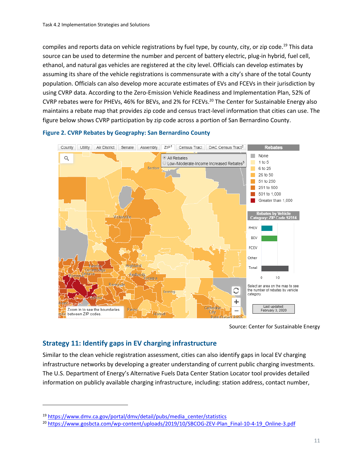compiles and reports data on vehicle registrations by fuel type, by county, city, or zip code.<sup>19</sup> This data source can be used to determine the number and percent of battery electric, plug-in hybrid, fuel cell, ethanol, and natural gas vehicles are registered at the city level. Officials can develop estimates by assuming its share of the vehicle registrations is commensurate with a city's share of the total County population. Officials can also develop more accurate estimates of EVs and FCEVs in their jurisdiction by using CVRP data. According to the Zero-Emission Vehicle Readiness and Implementation Plan, 52% of CVRP rebates were for PHEVs, 46% for BEVs, and 2% for FCEVs.<sup>20</sup> The Center for Sustainable Energy also maintains a rebate map that provides zip code and census tract-level information that cities can use. The figure below shows CVRP participation by zip code across a portion of San Bernardino County.



#### **Figure 2. CVRP Rebates by Geography: San Bernardino County**

Source: Center for Sustainable Energy

### **Strategy 11: Identify gaps in EV charging infrastructure**

Similar to the clean vehicle registration assessment, cities can also identify gaps in local EV charging infrastructure networks by developing a greater understanding of current public charging investments. The U.S. Department of Energy's Alternative Fuels Data Center Station Locator tool provides detailed information on publicly available charging infrastructure, including: station address, contact number,

<sup>19</sup> [https://www.dmv.ca.gov/portal/dmv/detail/pubs/media\\_center/statistics](https://www.dmv.ca.gov/portal/dmv/detail/pubs/media_center/statistics) 

<sup>&</sup>lt;sup>20</sup> [https://www.gosbcta.com/wp-content/uploads/2019/10/SBCOG-ZEV-Plan\\_Final-10-4-19\\_Online-3.pdf](https://www.gosbcta.com/wp-content/uploads/2019/10/SBCOG-ZEV-Plan_Final-10-4-19_Online-3.pdf)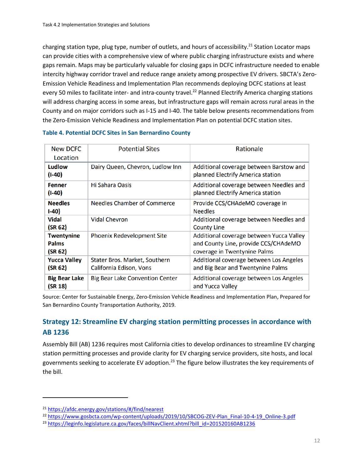charging station type, plug type, number of outlets, and hours of accessibility.<sup>21</sup> Station Locator maps can provide cities with a comprehensive view of where public charging infrastructure exists and where gaps remain. Maps may be particularly valuable for closing gaps in DCFC infrastructure needed to enable intercity highway corridor travel and reduce range anxiety among prospective EV drivers. SBCTA's Zero-Emission Vehicle Readiness and Implementation Plan recommends deploying DCFC stations at least every 50 miles to facilitate inter- and intra-county travel.<sup>22</sup> Planned Electrify America charging stations will address charging access in some areas, but infrastructure gaps will remain across rural areas in the County and on major corridors such as I-15 and I-40. The table below presents recommendations from the Zero-Emission Vehicle Readiness and Implementation Plan on potential DCFC station sites.

| <b>New DCFC</b><br>Location                  | <b>Potential Sites</b>                                   | Rationale                                                                                                        |
|----------------------------------------------|----------------------------------------------------------|------------------------------------------------------------------------------------------------------------------|
| Ludlow<br>$(I-40)$                           | Dairy Queen, Chevron, Ludlow Inn                         | Additional coverage between Barstow and<br>planned Electrify America station                                     |
| <b>Fenner</b><br>$(I-40)$                    | Hi Sahara Oasis                                          | Additional coverage between Needles and<br>planned Electrify America station                                     |
| <b>Needles</b><br>$1-40$                     | <b>Needles Chamber of Commerce</b>                       | Provide CCS/CHAdeMO coverage in<br><b>Needles</b>                                                                |
| <b>Vidal</b><br>(SR 62)                      | <b>Vidal Chevron</b>                                     | Additional coverage between Needles and<br><b>County Line</b>                                                    |
| <b>Twentynine</b><br><b>Palms</b><br>(SR 62) | <b>Phoenix Redevelopment Site</b>                        | Additional coverage between Yucca Valley<br>and County Line, provide CCS/CHAdeMO<br>coverage in Twentynine Palms |
| <b>Yucca Valley</b><br>(SR 62)               | Stater Bros. Market, Southern<br>California Edison, Vons | Additional coverage between Los Angeles<br>and Big Bear and Twentynine Palms                                     |
| <b>Big Bear Lake</b><br>(SR 18)              | <b>Big Bear Lake Convention Center</b>                   | Additional coverage between Los Angeles<br>and Yucca Valley                                                      |

#### **Table 4. Potential DCFC Sites in San Bernardino County**

Source: Center for Sustainable Energy, Zero-Emission Vehicle Readiness and Implementation Plan, Prepared for San Bernardino County Transportation Authority, 2019.

# **Strategy 12: Streamline EV charging station permitting processes in accordance with AB 1236**

Assembly Bill (AB) 1236 requires most California cities to develop ordinances to streamline EV charging station permitting processes and provide clarity for EV charging service providers, site hosts, and local governments seeking to accelerate EV adoption.<sup>23</sup> The figure below illustrates the key requirements of the bill.

<sup>21</sup> <https://afdc.energy.gov/stations/#/find/nearest>

<sup>&</sup>lt;sup>22</sup> [https://www.gosbcta.com/wp-content/uploads/2019/10/SBCOG-ZEV-Plan\\_Final-10-4-19\\_Online-3.pdf](https://www.gosbcta.com/wp-content/uploads/2019/10/SBCOG-ZEV-Plan_Final-10-4-19_Online-3.pdf)

<sup>&</sup>lt;sup>23</sup> [https://leginfo.legislature.ca.gov/faces/billNavClient.xhtml?bill\\_id=201520160AB1236](https://leginfo.legislature.ca.gov/faces/billNavClient.xhtml?bill_id=201520160AB1236)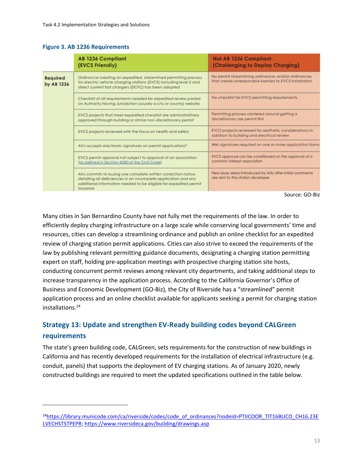#### **Figure 3. AB 1236 Requirements**

|                                                                                                                                                                                                                                 | <b>AB 1236 Compliant</b><br>(EVCS Friendly)                                                                                                                                                                       | <b>Not AB 1236 Compliant</b><br>(Challenging to Deploy Charging)                                              |
|---------------------------------------------------------------------------------------------------------------------------------------------------------------------------------------------------------------------------------|-------------------------------------------------------------------------------------------------------------------------------------------------------------------------------------------------------------------|---------------------------------------------------------------------------------------------------------------|
| Ordinance creating an expedited, streamlined permitting process<br><b>Required</b><br>for electric vehicle charging stations (EVCS) including level 2 and<br>by AB 1236<br>direct current fast chargers (DCFC) has been adopted |                                                                                                                                                                                                                   | No permit streamlining ordinance; and/or ordinances<br>that create unreasonable barriers to EVCS installation |
|                                                                                                                                                                                                                                 | Checklist of all requirements needed for expedited review posted<br>on Authority Having Jurisdiction (usually a city or county) website                                                                           | No checklist for EVCS permitting requirements                                                                 |
| EVCS projects that meet expedited checklist are administratively<br>approved through building or similar non-discretionary permit                                                                                               |                                                                                                                                                                                                                   | Permitting process centered around getting a<br>discretionary use permit first                                |
|                                                                                                                                                                                                                                 | EVCS projects reviewed with the focus on health and safety                                                                                                                                                        | EVCS projects reviewed for aesthetic considerations in<br>addition to building and electrical review          |
|                                                                                                                                                                                                                                 | AHJ accepts electronic signatures on permit applications*                                                                                                                                                         | Wet signatures required on one or more application forms                                                      |
|                                                                                                                                                                                                                                 | EVCS permit approval not subject to approval of an association<br>(as defined in Section 4080 of the Civil Code)                                                                                                  | EVCS approval can be conditioned on the approval of a<br>common interest association                          |
|                                                                                                                                                                                                                                 | AHJ commits to issuing one complete written correction notice<br>detailing all deficiencies in an incomplete application and any<br>additional information needed to be eligible for expedited permit<br>issuance | New issue areas introduced by AHJ after initial comments<br>are sent to the station developer                 |

Source: GO-Biz

Many cities in San Bernardino County have not fully met the requirements of the law. In order to efficiently deploy charging infrastructure on a large scale while conserving local governments' time and resources, cities can develop a streamlining ordinance and publish an online checklist for an expedited review of charging station permit applications. Cities can also strive to exceed the requirements of the law by publishing relevant permitting guidance documents, designating a charging station permitting expert on staff, holding pre-application meetings with prospective charging station site hosts, conducting concurrent permit reviews among relevant city departments, and taking additional steps to increase transparency in the application process. According to the California Governor's Office of Business and Economic Development (GO-Biz), the City of Riverside has a "streamlined" permit application process and an online checklist available for applicants seeking a permit for charging station installations.<sup>24</sup>

# **Strategy 13: Update and strengthen EV-Ready building codes beyond CALGreen requirements**

The state's green building code, CALGreen, sets requirements for the construction of new buildings in California and has recently developed requirements for the installation of electrical infrastructure (e.g. conduit, panels) that supports the deployment of EV charging stations. As of January 2020, newly constructed buildings are required to meet the updated specifications outlined in the table below.

<sup>&</sup>lt;sup>24</sup>[https://library.municode.com/ca/riverside/codes/code\\_of\\_ordinances?nodeId=PTIICOOR\\_TIT16BUCO\\_CH16.23E](https://library.municode.com/ca/riverside/codes/code_of_ordinances?nodeId=PTIICOOR_TIT16BUCO_CH16.23ELVECHSTSTPEPR) [LVECHSTSTPEPR;](https://library.municode.com/ca/riverside/codes/code_of_ordinances?nodeId=PTIICOOR_TIT16BUCO_CH16.23ELVECHSTSTPEPR)<https://www.riversideca.gov/building/drawings.asp>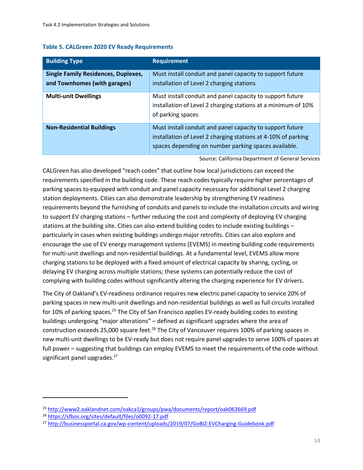|  |  |  |  | <b>Table 5. CALGreen 2020 EV Ready Requirements</b> |
|--|--|--|--|-----------------------------------------------------|
|--|--|--|--|-----------------------------------------------------|

| <b>Building Type</b>                                                       | <b>Requirement</b>                                                                                                                                                                 |
|----------------------------------------------------------------------------|------------------------------------------------------------------------------------------------------------------------------------------------------------------------------------|
| <b>Single Family Residences, Duplexes,</b><br>and Townhomes (with garages) | Must install conduit and panel capacity to support future<br>installation of Level 2 charging stations                                                                             |
| <b>Multi-unit Dwellings</b>                                                | Must install conduit and panel capacity to support future<br>installation of Level 2 charging stations at a minimum of 10%<br>of parking spaces                                    |
| <b>Non-Residential Buildings</b>                                           | Must install conduit and panel capacity to support future<br>installation of Level 2 charging stations at 4-10% of parking<br>spaces depending on number parking spaces available. |

Source: California Department of General Services

CALGreen has also developed "reach codes" that outline how local jurisdictions can exceed the requirements specified in the building code. These reach codes typically require higher percentages of parking spaces to equipped with conduit and panel capacity necessary for additional Level 2 charging station deployments. Cities can also demonstrate leadership by strengthening EV readiness requirements beyond the furnishing of conduits and panels to include the installation circuits and wiring to support EV charging stations – further reducing the cost and complexity of deploying EV charging stations at the building site. Cities can also extend building codes to include existing buildings – particularly in cases when existing buildings undergo major retrofits. Cities can also explore and encourage the use of EV energy management systems (EVEMS) in meeting building code requirements for multi-unit dwellings and non-residential buildings. At a fundamental level, EVEMS allow more charging stations to be deployed with a fixed amount of electrical capacity by sharing, cycling, or delaying EV charging across multiple stations; these systems can potentially reduce the cost of complying with building codes without significantly altering the charging experience for EV drivers.

The City of Oakland's EV-readiness ordinance requires new electric panel capacity to service 20% of parking spaces in new multi-unit dwellings and non-residential buildings as well as full circuits installed for 10% of parking spaces.<sup>25</sup> The City of San Francisco applies EV-ready building codes to existing buildings undergoing "major alterations" – defined as significant upgrades where the area of construction exceeds 25,000 square feet.<sup>26</sup> The City of Vancouver requires 100% of parking spaces in new multi-unit dwellings to be EV-ready but does not require panel upgrades to serve 100% of spaces at full power – suggesting that buildings can employ EVEMS to meet the requirements of the code without significant panel upgrades. $27$ 

<sup>25</sup> <http://www2.oaklandnet.com/oakca1/groups/pwa/documents/report/oak063669.pdf>

<sup>26</sup> <https://sfbos.org/sites/default/files/o0092-17.pdf>

<sup>27</sup> <http://businessportal.ca.gov/wp-content/uploads/2019/07/GoBIZ-EVCharging-Guidebook.pdf>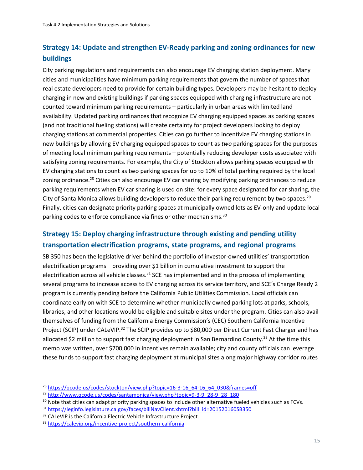# **Strategy 14: Update and strengthen EV-Ready parking and zoning ordinances for new buildings**

City parking regulations and requirements can also encourage EV charging station deployment. Many cities and municipalities have minimum parking requirements that govern the number of spaces that real estate developers need to provide for certain building types. Developers may be hesitant to deploy charging in new and existing buildings if parking spaces equipped with charging infrastructure are not counted toward minimum parking requirements – particularly in urban areas with limited land availability. Updated parking ordinances that recognize EV charging equipped spaces as parking spaces (and not traditional fueling stations) will create certainty for project developers looking to deploy charging stations at commercial properties. Cities can go further to incentivize EV charging stations in new buildings by allowing EV charging equipped spaces to count as *two* parking spaces for the purposes of meeting local minimum parking requirements – potentially reducing developer costs associated with satisfying zoning requirements. For example, the City of Stockton allows parking spaces equipped with EV charging stations to count as two parking spaces for up to 10% of total parking required by the local zoning ordinance.<sup>28</sup> Cities can also encourage EV car sharing by modifying parking ordinances to reduce parking requirements when EV car sharing is used on site: for every space designated for car sharing, the City of Santa Monica allows building developers to reduce their parking requirement by two spaces.<sup>29</sup> Finally, cities can designate priority parking spaces at municipally owned lots as EV-only and update local parking codes to enforce compliance via fines or other mechanisms.<sup>30</sup>

# **Strategy 15: Deploy charging infrastructure through existing and pending utility transportation electrification programs, state programs, and regional programs**

SB 350 has been the legislative driver behind the portfolio of investor-owned utilities' transportation electrification programs – providing over \$1 billion in cumulative investment to support the electrification across all vehicle classes. $31$  SCE has implemented and in the process of implementing several programs to increase access to EV charging across its service territory, and SCE's Charge Ready 2 program is currently pending before the California Public Utilities Commission. Local officials can coordinate early on with SCE to determine whether municipally owned parking lots at parks, schools, libraries, and other locations would be eligible and suitable sites under the program. Cities can also avail themselves of funding from the California Energy Commission's (CEC) Southern California Incentive Project (SCIP) under CALeVIP.<sup>32</sup> The SCIP provides up to \$80,000 per Direct Current Fast Charger and has allocated \$2 million to support fast charging deployment in San Bernardino County.<sup>33</sup> At the time this memo was written, over \$700,000 in incentives remain available; city and county officials can leverage these funds to support fast charging deployment at municipal sites along major highway corridor routes

<sup>&</sup>lt;sup>28</sup> https://gcode.us/codes/stockton/view.php?topic=16-3-16\_64-16\_64\_030&frames=off

<sup>&</sup>lt;sup>29</sup> [http://www.qcode.us/codes/santamonica/view.php?topic=9-3-9\\_28-9\\_28\\_180](http://www.qcode.us/codes/santamonica/view.php?topic=9-3-9_28-9_28_180)

<sup>&</sup>lt;sup>30</sup> Note that cities can adapt priority parking spaces to include other alternative fueled vehicles such as FCVs.

<sup>31</sup> [https://leginfo.legislature.ca.gov/faces/billNavClient.xhtml?bill\\_id=201520160SB350](https://leginfo.legislature.ca.gov/faces/billNavClient.xhtml?bill_id=201520160SB350)

<sup>&</sup>lt;sup>32</sup> CALeVIP is the California Electric Vehicle Infrastructure Project.

<sup>33</sup> <https://calevip.org/incentive-project/southern-california>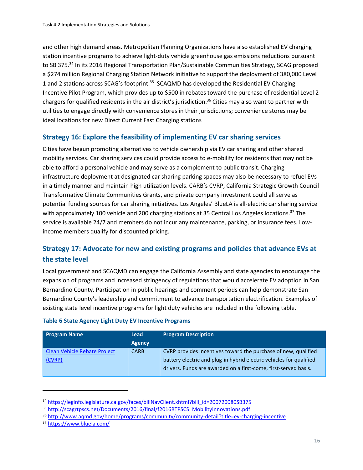and other high demand areas. Metropolitan Planning Organizations have also established EV charging station incentive programs to achieve light-duty vehicle greenhouse gas emissions reductions pursuant to SB 375.<sup>34</sup> In its 2016 Regional Transportation Plan/Sustainable Communities Strategy, SCAG proposed a \$274 million Regional Charging Station Network initiative to support the deployment of 380,000 Level 1 and 2 stations across SCAG's footprint.<sup>35</sup> SCAQMD has developed the Residential EV Charging Incentive Pilot Program, which provides up to \$500 in rebates toward the purchase of residential Level 2 chargers for qualified residents in the air district's jurisdiction.<sup>36</sup> Cities may also want to partner with utilities to engage directly with convenience stores in their jurisdictions; convenience stores may be ideal locations for new Direct Current Fast Charging stations

## **Strategy 16: Explore the feasibility of implementing EV car sharing services**

Cities have begun promoting alternatives to vehicle ownership via EV car sharing and other shared mobility services. Car sharing services could provide access to e-mobility for residents that may not be able to afford a personal vehicle and may serve as a complement to public transit. Charging infrastructure deployment at designated car sharing parking spaces may also be necessary to refuel EVs in a timely manner and maintain high utilization levels. CARB's CVRP, California Strategic Growth Council Transformative Climate Communities Grants, and private company investment could all serve as potential funding sources for car sharing initiatives. Los Angeles' BlueLA is all-electric car sharing service with approximately 100 vehicle and 200 charging stations at 35 Central Los Angeles locations.<sup>37</sup> The service is available 24/7 and members do not incur any maintenance, parking, or insurance fees. Lowincome members qualify for discounted pricing.

# **Strategy 17: Advocate for new and existing programs and policies that advance EVs at the state level**

Local government and SCAQMD can engage the California Assembly and state agencies to encourage the expansion of programs and increased stringency of regulations that would accelerate EV adoption in San Bernardino County. Participation in public hearings and comment periods can help demonstrate San Bernardino County's leadership and commitment to advance transportation electrification. Examples of existing state level incentive programs for light duty vehicles are included in the following table.

| <b>Program Name</b>                           | <b>Lead</b><br><b>Agency</b> | <b>Program Description</b>                                                                                                                                                                               |
|-----------------------------------------------|------------------------------|----------------------------------------------------------------------------------------------------------------------------------------------------------------------------------------------------------|
| <b>Clean Vehicle Rebate Project</b><br>(CVRP) | <b>CARB</b>                  | CVRP provides incentives toward the purchase of new, qualified<br>battery electric and plug-in hybrid electric vehicles for qualified<br>drivers. Funds are awarded on a first-come, first-served basis. |

#### **Table 6 State Agency Light Duty EV Incentive Programs**

<sup>&</sup>lt;sup>34</sup> [https://leginfo.legislature.ca.gov/faces/billNavClient.xhtml?bill\\_id=200720080SB375](https://leginfo.legislature.ca.gov/faces/billNavClient.xhtml?bill_id=200720080SB375)

<sup>35</sup> [http://scagrtpscs.net/Documents/2016/final/f2016RTPSCS\\_MobilityInnovations.pdf](http://scagrtpscs.net/Documents/2016/final/f2016RTPSCS_MobilityInnovations.pdf)

<sup>36</sup> <http://www.aqmd.gov/home/programs/community/community-detail?title=ev-charging-incentive>

<sup>37</sup> <https://www.bluela.com/>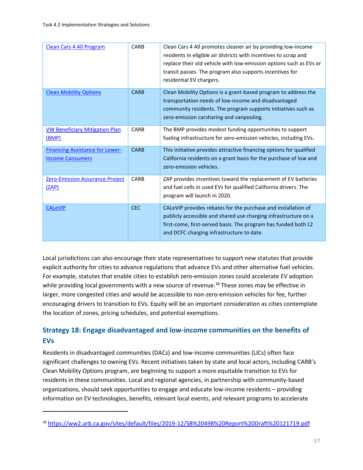| <b>Clean Cars 4 All Program</b>                                   | CARB        | Clean Cars 4 All promotes cleaner air by providing low-income<br>residents in eligible air districts with incentives to scrap and<br>replace their old vehicle with low-emission options such as EVs or<br>transit passes. The program also supports incentives for<br>residential EV chargers. |
|-------------------------------------------------------------------|-------------|-------------------------------------------------------------------------------------------------------------------------------------------------------------------------------------------------------------------------------------------------------------------------------------------------|
| <b>Clean Mobility Options</b>                                     | <b>CARB</b> | Clean Mobility Options is a grant-based program to address the<br>transportation needs of low-income and disadvantaged<br>community residents. The program supports initiatives such as<br>zero-emission carsharing and vanpooling.                                                             |
| <b>VW Beneficiary Mitigation Plan</b><br><u>(BMP)</u>             | <b>CARB</b> | The BMP provides modest funding opportunities to support<br>fueling infrastructure for zero-emission vehicles, including EVs.                                                                                                                                                                   |
| <b>Financing Assistance for Lower-</b><br><b>Income Consumers</b> | <b>CARB</b> | This initiative provides attractive financing options for qualified<br>California residents on a grant basis for the purchase of low and<br>zero-emission vehicles.                                                                                                                             |
| <b>Zero-Emission Assurance Project</b><br>(ZAP)                   | CARB        | ZAP provides incentives toward the replacement of EV batteries<br>and fuel cells in used EVs for qualified California drivers. The<br>program will launch in 2020.                                                                                                                              |
| <b>CALeVIP</b>                                                    | <b>CEC</b>  | CALeVIP provides rebates for the purchase and installation of<br>publicly accessible and shared use charging infrastructure on a<br>first-come, first-served basis. The program has funded both L2<br>and DCFC charging infrastructure to date.                                                 |

Local jurisdictions can also encourage their state representatives to support new statutes that provide explicit authority for cities to advance regulations that advance EVs and other alternative fuel vehicles. For example, statutes that enable cities to establish zero-emission zones could accelerate EV adoption while providing local governments with a new source of revenue.<sup>38</sup> These zones may be effective in larger, more congested cities and would be accessible to non-zero-emission vehicles for fee, further encouraging drivers to transition to EVs. Equity will be an important consideration as cities contemplate the location of zones, pricing schedules, and potential exemptions.

# **Strategy 18: Engage disadvantaged and low-income communities on the benefits of EVs**

Residents in disadvantaged communities (DACs) and low-income communities (LICs) often face significant challenges to owning EVs. Recent initiatives taken by state and local actors, including CARB's Clean Mobility Options program, are beginning to support a more equitable transition to EVs for residents in these communities. Local and regional agencies, in partnership with community-based organizations, should seek opportunities to engage and educate low-income residents – providing information on EV technologies, benefits, relevant local events, and relevant programs to accelerate

<sup>38</sup> <https://ww2.arb.ca.gov/sites/default/files/2019-12/SB%20498%20Report%20Draft%20121719.pdf>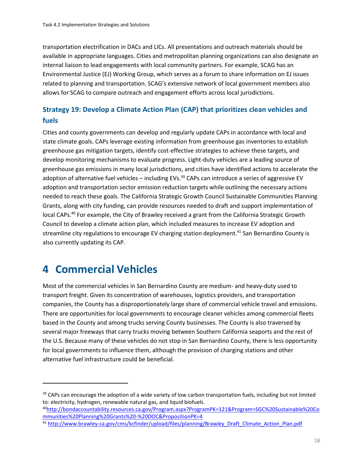transportation electrification in DACs and LICs. All presentations and outreach materials should be available in appropriate languages. Cities and metropolitan planning organizations can also designate an internal liaison to lead engagements with local community partners. For example, SCAG has an Environmental Justice (EJ) Working Group, which serves as a forum to share information on EJ issues related to planning and transportation. SCAG's extensive network of local government members also allows for SCAG to compare outreach and engagement efforts across local jurisdictions.

# **Strategy 19: Develop a Climate Action Plan (CAP) that prioritizes clean vehicles and fuels**

Cities and county governments can develop and regularly update CAPs in accordance with local and state climate goals. CAPs leverage existing information from greenhouse gas inventories to establish greenhouse gas mitigation targets, identify cost-effective strategies to achieve these targets, and develop monitoring mechanisms to evaluate progress. Light-duty vehicles are a leading source of greenhouse gas emissions in many local jurisdictions, and cities have identified actions to accelerate the adoption of alternative fuel vehicles – including  $EVS$ .<sup>39</sup> CAPs can introduce a series of aggressive EV adoption and transportation sector emission reduction targets while outlining the necessary actions needed to reach these goals. The California Strategic Growth Council Sustainable Communities Planning Grants, along with city funding, can provide resources needed to draft and support implementation of local CAPs.<sup>40</sup> For example, the City of Brawley received a grant from the California Strategic Growth Council to develop a climate action plan, which included measures to increase EV adoption and streamline city regulations to encourage EV charging station deployment.<sup>41</sup> San Bernardino County is also currently updating its CAP.

# **4 Commercial Vehicles**

Most of the commercial vehicles in San Bernardino County are medium- and heavy-duty used to transport freight. Given its concentration of warehouses, logistics providers, and transportation companies, the County has a disproportionately large share of commercial vehicle travel and emissions. There are opportunities for local governments to encourage cleaner vehicles among commercial fleets based in the County and among trucks serving County businesses. The County is also traversed by several major freeways that carry trucks moving between Southern California seaports and the rest of the U.S. Because many of these vehicles do not stop in San Bernardino County, there is less opportunity for local governments to influence them, although the provision of charging stations and other alternative fuel infrastructure could be beneficial.

<sup>&</sup>lt;sup>39</sup> CAPs can encourage the adoption of a wide variety of low carbon transportation fuels, including but not limited to: electricity, hydrogen, renewable natural gas, and liquid biofuels.

<sup>40</sup>[http://bondaccountability.resources.ca.gov/Program.aspx?ProgramPK=121&Program=SGC%20Sustainable%20Co](http://bondaccountability.resources.ca.gov/Program.aspx?ProgramPK=121&Program=SGC%20Sustainable%20Communities%20Planning%20Grants%20-%20DOC&PropositionPK=4) [mmunities%20Planning%20Grants%20-%20DOC&PropositionPK=4](http://bondaccountability.resources.ca.gov/Program.aspx?ProgramPK=121&Program=SGC%20Sustainable%20Communities%20Planning%20Grants%20-%20DOC&PropositionPK=4)

<sup>41</sup> [http://www.brawley-ca.gov/cms/kcfinder/upload/files/planning/Brawley\\_Draft\\_Climate\\_Action\\_Plan.pdf](http://www.brawley-ca.gov/cms/kcfinder/upload/files/planning/Brawley_Draft_Climate_Action_Plan.pdf)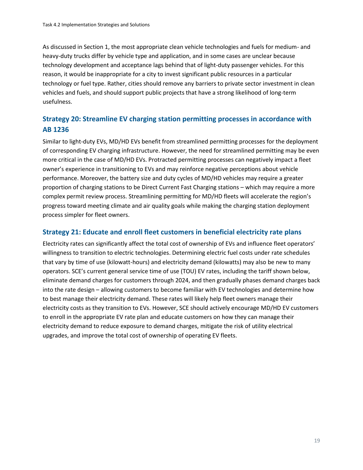As discussed in Section 1, the most appropriate clean vehicle technologies and fuels for medium- and heavy-duty trucks differ by vehicle type and application, and in some cases are unclear because technology development and acceptance lags behind that of light-duty passenger vehicles. For this reason, it would be inappropriate for a city to invest significant public resources in a particular technology or fuel type. Rather, cities should remove any barriers to private sector investment in clean vehicles and fuels, and should support public projects that have a strong likelihood of long-term usefulness.

# **Strategy 20: Streamline EV charging station permitting processes in accordance with AB 1236**

Similar to light-duty EVs, MD/HD EVs benefit from streamlined permitting processes for the deployment of corresponding EV charging infrastructure. However, the need for streamlined permitting may be even more critical in the case of MD/HD EVs. Protracted permitting processes can negatively impact a fleet owner's experience in transitioning to EVs and may reinforce negative perceptions about vehicle performance. Moreover, the battery size and duty cycles of MD/HD vehicles may require a greater proportion of charging stations to be Direct Current Fast Charging stations – which may require a more complex permit review process. Streamlining permitting for MD/HD fleets will accelerate the region's progress toward meeting climate and air quality goals while making the charging station deployment process simpler for fleet owners.

### **Strategy 21: Educate and enroll fleet customers in beneficial electricity rate plans**

Electricity rates can significantly affect the total cost of ownership of EVs and influence fleet operators' willingness to transition to electric technologies. Determining electric fuel costs under rate schedules that vary by time of use (kilowatt-hours) and electricity demand (kilowatts) may also be new to many operators. SCE's current general service time of use (TOU) EV rates, including the tariff shown below, eliminate demand charges for customers through 2024, and then gradually phases demand charges back into the rate design – allowing customers to become familiar with EV technologies and determine how to best manage their electricity demand. These rates will likely help fleet owners manage their electricity costs as they transition to EVs. However, SCE should actively encourage MD/HD EV customers to enroll in the appropriate EV rate plan and educate customers on how they can manage their electricity demand to reduce exposure to demand charges, mitigate the risk of utility electrical upgrades, and improve the total cost of ownership of operating EV fleets.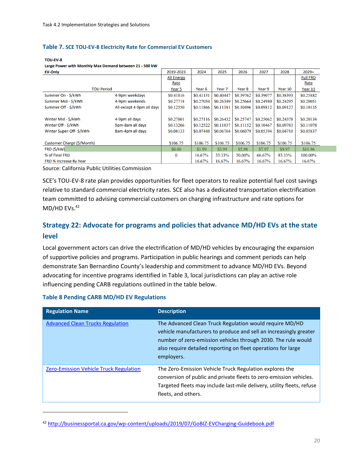#### **Table 7. SCE TOU-EV-8 Electricity Rate for Commercial EV Customers**

#### TOU-EV-8 Large Power with Monthly Max Demand between 21 - 500 kW

| <b>EV-Only</b>                |                           | 2019-2023         | 2024      | 2025              | 2026      | 2027      | 2028      | $2029+$         |
|-------------------------------|---------------------------|-------------------|-----------|-------------------|-----------|-----------|-----------|-----------------|
|                               |                           | <b>All Energy</b> |           |                   |           |           |           | <b>Full FRD</b> |
|                               |                           | Rate              |           |                   |           |           |           | Rate            |
| <b>TOU Period</b>             |                           | Year 5            | Year 6    | Year <sub>7</sub> | Year 8    | Year 9    | Year 10   | Year 11         |
| Summer On - \$/kWh            | 4-9pm weekdays            | \$0.41816         | \$0.41131 | \$0.40447         | \$0.39762 | \$0.39077 | \$0.38393 | \$0.25882       |
| Summer Mid - \$/kWh           | 4-9pm weekends            | \$0.27718         | \$0.27034 | \$0.26349         | \$0.25664 | \$0.24980 | \$0.24295 | \$0.20051       |
| Summer Off - \$/kWh           | All except 4-9pm all days | \$0.12550         | \$0.11866 | \$0.11181         | \$0.10496 | \$0.09812 | \$0.09127 | \$0.10135       |
|                               |                           |                   |           |                   |           |           |           |                 |
| Winter Mid - \$/kWh           | 4-9pm all days            | \$0.27801         | \$0.27116 | \$0.26432         | \$0.25747 | \$0.25062 | \$0.24378 | \$0.20134       |
| Winter Off - \$/kWh           | 9pm-8am all days          | \$0.13206         | \$0.12522 | \$0.11837         | \$0.11152 | \$0.10467 | \$0.09783 | \$0.11078       |
| Winter Super-Off- \$/kWh      | 8am-4pm all days          | \$0.08133         | \$0.07448 | \$0.06764         | \$0.06079 | \$0.05394 | \$0.04710 | \$0.05837       |
|                               |                           |                   |           |                   |           |           |           |                 |
| Customer Charge (\$/Month)    |                           | \$106.75          | \$106.75  | \$106.75          | \$106.75  | \$106.75  | \$106.75  | \$106.75        |
| FRD (\$/kW)                   |                           | \$0.00            | \$1.99    | \$3.99            | \$5.98    | \$7.97    | \$9.97    | \$11.96         |
| % of Final FRD                |                           | $\bf{0}$          | 16.67%    | 33.33%            | 50.00%    | 66.67%    | 83.33%    | 100.00%         |
| <b>FRD % Increase By Year</b> |                           |                   | 16.67%    | 16.67%            | 16.67%    | 16.67%    | 16.67%    | 16.67%          |

Source: California Public Utilities Commission

SCE's TOU-EV-8 rate plan provides opportunities for fleet operators to realize potential fuel cost savings relative to standard commercial electricity rates. SCE also has a dedicated transportation electrification team committed to advising commercial customers on charging infrastructure and rate options for MD/HD EVs.<sup>42</sup>

## **Strategy 22: Advocate for programs and policies that advance MD/HD EVs at the state level**

Local government actors can drive the electrification of MD/HD vehicles by encouraging the expansion of supportive policies and programs. Participation in public hearings and comment periods can help demonstrate San Bernardino County's leadership and commitment to advance MD/HD EVs. Beyond advocating for incentive programs identified in Table 3, local jurisdictions can play an active role influencing pending CARB regulations outlined in the table below.

| <b>Regulation Name</b>                        | <b>Description</b>                                                                                                                                                                                                                                                           |
|-----------------------------------------------|------------------------------------------------------------------------------------------------------------------------------------------------------------------------------------------------------------------------------------------------------------------------------|
| <b>Advanced Clean Trucks Regulation</b>       | The Advanced Clean Truck Regulation would require MD/HD<br>vehicle manufacturers to produce and sell an increasingly greater<br>number of zero-emission vehicles through 2030. The rule would<br>also require detailed reporting on fleet operations for large<br>employers. |
| <b>Zero-Emission Vehicle Truck Regulation</b> | The Zero-Emission Vehicle Truck Regulation explores the<br>conversion of public and private fleets to zero-emission vehicles.<br>Targeted fleets may include last-mile delivery, utility fleets, refuse<br>fleets, and others.                                               |

#### **Table 8 Pending CARB MD/HD EV Regulations**

<sup>42</sup> <http://businessportal.ca.gov/wp-content/uploads/2019/07/GoBIZ-EVCharging-Guidebook.pdf>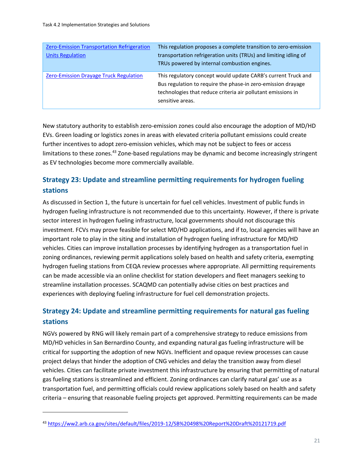| Zero-Emission Transportation Refrigeration<br><b>Units Regulation</b> | This regulation proposes a complete transition to zero-emission<br>transportation refrigeration units (TRUs) and limiting idling of<br>TRUs powered by internal combustion engines.                               |
|-----------------------------------------------------------------------|-------------------------------------------------------------------------------------------------------------------------------------------------------------------------------------------------------------------|
| <b>Zero-Emission Drayage Truck Regulation</b>                         | This regulatory concept would update CARB's current Truck and<br>Bus regulation to require the phase-in zero-emission drayage<br>technologies that reduce criteria air pollutant emissions in<br>sensitive areas. |

New statutory authority to establish zero-emission zones could also encourage the adoption of MD/HD EVs. Green loading or logistics zones in areas with elevated criteria pollutant emissions could create further incentives to adopt zero-emission vehicles, which may not be subject to fees or access limitations to these zones.<sup>43</sup> Zone-based regulations may be dynamic and become increasingly stringent as EV technologies become more commercially available.

# **Strategy 23: Update and streamline permitting requirements for hydrogen fueling stations**

As discussed in Section 1, the future is uncertain for fuel cell vehicles. Investment of public funds in hydrogen fueling infrastructure is not recommended due to this uncertainty. However, if there is private sector interest in hydrogen fueling infrastructure, local governments should not discourage this investment. FCVs may prove feasible for select MD/HD applications, and if to, local agencies will have an important role to play in the siting and installation of hydrogen fueling infrastructure for MD/HD vehicles. Cities can improve installation processes by identifying hydrogen as a transportation fuel in zoning ordinances, reviewing permit applications solely based on health and safety criteria, exempting hydrogen fueling stations from CEQA review processes where appropriate. All permitting requirements can be made accessible via an online checklist for station developers and fleet managers seeking to streamline installation processes. SCAQMD can potentially advise cities on best practices and experiences with deploying fueling infrastructure for fuel cell demonstration projects.

# **Strategy 24: Update and streamline permitting requirements for natural gas fueling stations**

NGVs powered by RNG will likely remain part of a comprehensive strategy to reduce emissions from MD/HD vehicles in San Bernardino County, and expanding natural gas fueling infrastructure will be critical for supporting the adoption of new NGVs. Inefficient and opaque review processes can cause project delays that hinder the adoption of CNG vehicles and delay the transition away from diesel vehicles. Cities can facilitate private investment this infrastructure by ensuring that permitting of natural gas fueling stations is streamlined and efficient. Zoning ordinances can clarify natural gas' use as a transportation fuel, and permitting officials could review applications solely based on health and safety criteria – ensuring that reasonable fueling projects get approved. Permitting requirements can be made

<sup>43</sup> <https://ww2.arb.ca.gov/sites/default/files/2019-12/SB%20498%20Report%20Draft%20121719.pdf>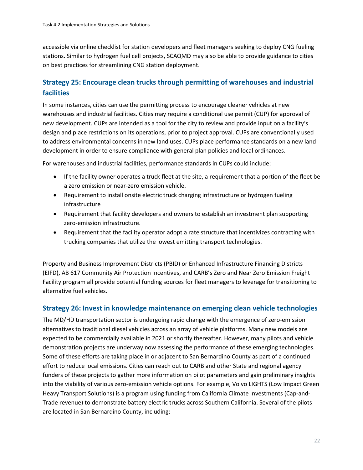accessible via online checklist for station developers and fleet managers seeking to deploy CNG fueling stations. Similar to hydrogen fuel cell projects, SCAQMD may also be able to provide guidance to cities on best practices for streamlining CNG station deployment.

# **Strategy 25: Encourage clean trucks through permitting of warehouses and industrial facilities**

In some instances, cities can use the permitting process to encourage cleaner vehicles at new warehouses and industrial facilities. Cities may require a conditional use permit (CUP) for approval of new development. CUPs are intended as a tool for the city to review and provide input on a facility's design and place restrictions on its operations, prior to project approval. CUPs are conventionally used to address environmental concerns in new land uses. CUPs place performance standards on a new land development in order to ensure compliance with general plan policies and local ordinances.

For warehouses and industrial facilities, performance standards in CUPs could include:

- If the facility owner operates a truck fleet at the site, a requirement that a portion of the fleet be a zero emission or near-zero emission vehicle.
- Requirement to install onsite electric truck charging infrastructure or hydrogen fueling infrastructure
- Requirement that facility developers and owners to establish an investment plan supporting zero-emission infrastructure.
- Requirement that the facility operator adopt a rate structure that incentivizes contracting with trucking companies that utilize the lowest emitting transport technologies.

Property and Business Improvement Districts (PBID) or Enhanced Infrastructure Financing Districts (EIFD), AB 617 Community Air Protection Incentives, and CARB's Zero and Near Zero Emission Freight Facility program all provide potential funding sources for fleet managers to leverage for transitioning to alternative fuel vehicles.

### **Strategy 26: Invest in knowledge maintenance on emerging clean vehicle technologies**

The MD/HD transportation sector is undergoing rapid change with the emergence of zero-emission alternatives to traditional diesel vehicles across an array of vehicle platforms. Many new models are expected to be commercially available in 2021 or shortly thereafter. However, many pilots and vehicle demonstration projects are underway now assessing the performance of these emerging technologies. Some of these efforts are taking place in or adjacent to San Bernardino County as part of a continued effort to reduce local emissions. Cities can reach out to CARB and other State and regional agency funders of these projects to gather more information on pilot parameters and gain preliminary insights into the viability of various zero-emission vehicle options. For example, Volvo LIGHTS (Low Impact Green Heavy Transport Solutions) is a program using funding from California Climate Investments (Cap-and-Trade revenue) to demonstrate battery electric trucks across Southern California. Several of the pilots are located in San Bernardino County, including: